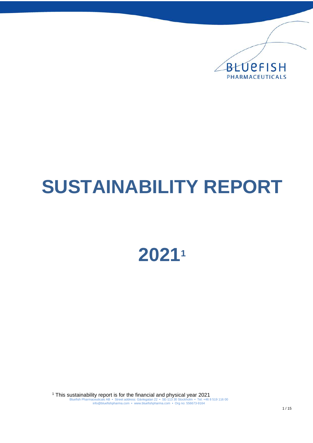

# **SUSTAINABILITY REPORT**

# **2021[1](#page-0-0)**

<span id="page-0-0"></span>Bluefish Pharmaceuticals AB • Street address: Gävlegatan 22 • SE-113 30 Stockholm • Tel: +46 8 519 116 00 info@bluefishpharma.com • www.bluefishpharma.com • Org no: 556673-9164 <sup>1</sup> This sustainability report is for the financial and physical year 2021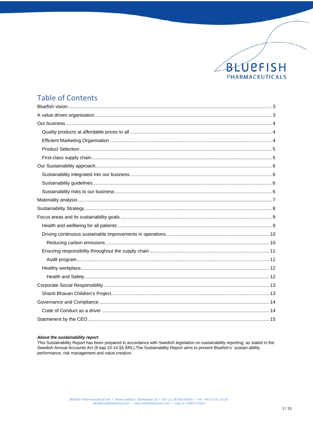

## **Table of Contents**

#### About the sustainability report

This Sustainability Report has been prepared in accordance with Swedish legislation on sustainability reporting, as stated in the Swedish Annual Accounts Act (6 kap 10-14 §§ ÅRL). The Sustainability Report aims to present Bluefish's' sustain-ability performance, risk management and value creation.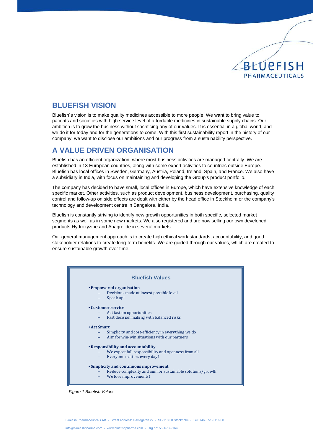

## <span id="page-2-0"></span>**BLUEFISH VISION**

Bluefish´s vision is to make quality medicines accessible to more people. We want to bring value to patients and societies with high service level of affordable medicines in sustainable supply chains. Our ambition is to grow the business without sacrificing any of our values. It is essential in a global world, and we do it for today and for the generations to come. With this first sustainability report in the history of our company, we want to disclose our ambitions and our progress from a sustainability perspective.

## <span id="page-2-1"></span>**A VALUE DRIVEN ORGANISATION**

Bluefish has an efficient organization, where most business activities are managed centrally. We are established in 13 European countries, along with some export activities to countries outside Europe. Bluefish has local offices in Sweden, Germany, Austria, Poland, Ireland, Spain, and France. We also have a subsidiary in India, with focus on maintaining and developing the Group's product portfolio.

The company has decided to have small, local offices in Europe, which have extensive knowledge of each specific market. Other activities, such as product development, business development, purchasing, quality control and follow-up on side effects are dealt with either by the head office in Stockholm or the company's technology and development centre in Bangalore, India.

Bluefish is constantly striving to identify new growth opportunities in both specific, selected market segments as well as in some new markets. We also registered and are now selling our own developed products Hydroxyzine and Anagrelide in several markets.

Our general management approach is to create high ethical work standards, accountability, and good stakeholder relations to create long-term benefits. We are guided through our values, which are created to ensure sustainable growth over time.



*Figure 1 Bluefish Values*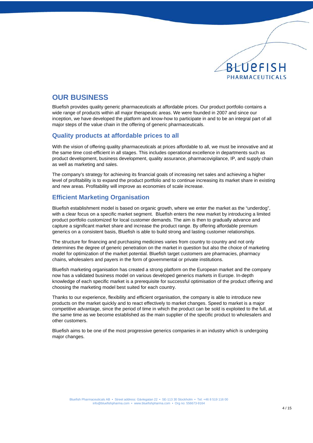## BLUEFISH PHARMACEUTICALS

## <span id="page-3-0"></span>**OUR BUSINESS**

Bluefish provides quality generic pharmaceuticals at affordable prices. Our product portfolio contains a wide range of products within all major therapeutic areas. We were founded in 2007 and since our inception, we have developed the platform and know-how to participate in and to be an integral part of all major steps of the value chain in the offering of generic pharmaceuticals.

## <span id="page-3-1"></span>**Quality products at affordable prices to all**

With the vision of offering quality pharmaceuticals at prices affordable to all, we must be innovative and at the same time cost-efficient in all stages. This includes operational excellence in departments such as product development, business development, quality assurance, pharmacovigilance, IP, and supply chain as well as marketing and sales.

The company's strategy for achieving its financial goals of increasing net sales and achieving a higher level of profitability is to expand the product portfolio and to continue increasing its market share in existing and new areas. Profitability will improve as economies of scale increase.

## <span id="page-3-2"></span>**Efficient Marketing Organisation**

Bluefish establishment model is based on organic growth, where we enter the market as the "underdog", with a clear focus on a specific market segment. Bluefish enters the new market by introducing a limited product portfolio customized for local customer demands. The aim is then to gradually advance and capture a significant market share and increase the product range. By offering affordable premium generics on a consistent basis, Bluefish is able to build strong and lasting customer relationships.

The structure for financing and purchasing medicines varies from country to country and not only determines the degree of generic penetration on the market in question but also the choice of marketing model for optimization of the market potential. Bluefish target customers are pharmacies, pharmacy chains, wholesalers and payers in the form of governmental or private institutions.

Bluefish marketing organisation has created a strong platform on the European market and the company now has a validated business model on various developed generics markets in Europe. In-depth knowledge of each specific market is a prerequisite for successful optimisation of the product offering and choosing the marketing model best suited for each country.

Thanks to our experience, flexibility and efficient organisation, the company is able to introduce new products on the market quickly and to react effectively to market changes. Speed to market is a major competitive advantage, since the period of time in which the product can be sold is exploited to the full, at the same time as we become established as the main supplier of the specific product to wholesalers and other customers.

Bluefish aims to be one of the most progressive generics companies in an industry which is undergoing major changes.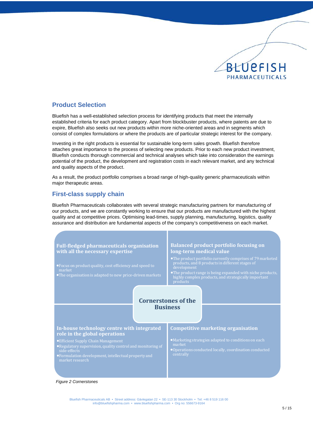

#### <span id="page-4-0"></span>**Product Selection**

Bluefish has a well-established selection process for identifying products that meet the internally established criteria for each product category. Apart from blockbuster products, where patents are due to expire, Bluefish also seeks out new products within more niche-oriented areas and in segments which consist of complex formulations or where the products are of particular strategic interest for the company.

Investing in the right products is essential for sustainable long-term sales growth. Bluefish therefore attaches great importance to the process of selecting new products. Prior to each new product investment, Bluefish conducts thorough commercial and technical analyses which take into consideration the earnings potential of the product, the development and registration costs in each relevant market, and any technical and quality aspects of the product.

As a result, the product portfolio comprises a broad range of high-quality generic pharmaceuticals within major therapeutic areas.

#### <span id="page-4-1"></span>**First-class supply chain**

Bluefish Pharmaceuticals collaborates with several strategic manufacturing partners for manufacturing of our products, and we are constantly working to ensure that our products are manufactured with the highest quality and at competitive prices. Optimising lead-times, supply planning, manufacturing, logistics, quality assurance and distribution are fundamental aspects of the company's competitiveness on each market.



#### *Figure 2 Cornerstones*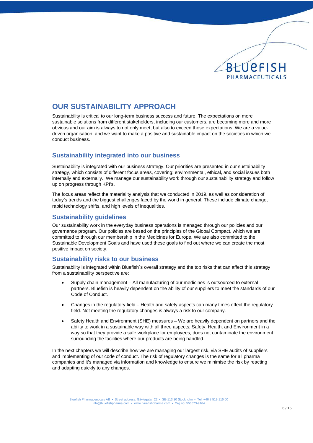

## <span id="page-5-0"></span>**OUR SUSTAINABILITY APPROACH**

Sustainability is critical to our long-term business success and future. The expectations on more sustainable solutions from different stakeholders, including our customers, are becoming more and more obvious and our aim is always to not only meet, but also to exceed those expectations. We are a valuedriven organisation, and we want to make a positive and sustainable impact on the societies in which we conduct business.

#### <span id="page-5-1"></span>**Sustainability integrated into our business**

Sustainability is integrated with our business strategy. Our priorities are presented in our sustainability strategy, which consists of different focus areas, covering; environmental, ethical, and social issues both internally and externally. We manage our sustainability work through our sustainability strategy and follow up on progress through KPI's.

The focus areas reflect the materiality analysis that we conducted in 2019, as well as consideration of today's trends and the biggest challenges faced by the world in general. These include climate change, rapid technology shifts, and high levels of inequalities.

#### <span id="page-5-2"></span>**Sustainability guidelines**

Our sustainability work in the everyday business operations is managed through our policies and our governance program. Our policies are based on the principles of the Global Compact, which we are committed to through our membership in the Medicines for Europe. We are also committed to the Sustainable Development Goals and have used these goals to find out where we can create the most positive impact on society.

#### <span id="page-5-3"></span>**Sustainability risks to our business**

Sustainability is integrated within Bluefish´s overall strategy and the top risks that can affect this strategy from a sustainability perspective are:

- Supply chain management All manufacturing of our medicines is outsourced to external partners. Bluefish is heavily dependent on the ability of our suppliers to meet the standards of our Code of Conduct.
- Changes in the regulatory field Health and safety aspects can many times effect the regulatory field. Not meeting the regulatory changes is always a risk to our company.
- Safety Health and Environment (SHE) measures We are heavily dependent on partners and the ability to work in a sustainable way with all three aspects; Safety, Health, and Environment in a way so that they provide a safe workplace for employees, does not contaminate the environment surrounding the facilities where our products are being handled.

In the next chapters we will describe how we are managing our largest risk, via SHE audits of suppliers and implementing of our code of conduct. The risk of regulatory changes is the same for all pharma companies and it's managed via information and knowledge to ensure we minimise the risk by reacting and adapting quickly to any changes.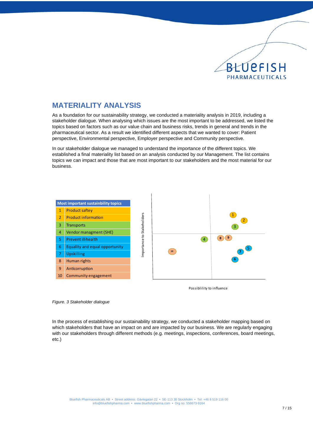

## <span id="page-6-0"></span>**MATERIALITY ANALYSIS**

As a foundation for our sustainability strategy, we conducted a materiality analysis in 2019, including a stakeholder dialogue. When analysing which issues are the most important to be addressed, we listed the topics based on factors such as our value chain and business risks, trends in general and trends in the pharmaceutical sector. As a result we identified different aspects that we wanted to cover: Patient perspective, Environmental perspective, Employer perspective and Community perspective.

In our stakeholder dialogue we managed to understand the importance of the different topics. We established a final materiality list based on an analysis conducted by our Management. The list contains topics we can impact and those that are most important to our stakeholders and the most material for our business.



Possiblility to influence

In the process of establishing our sustainability strategy, we conducted a stakeholder mapping based on which stakeholders that have an impact on and are impacted by our business. We are regularly engaging with our stakeholders through different methods (e.g. meetings, inspections, conferences, board meetings, etc.)

*Figure. 3 Stakeholder dialogue*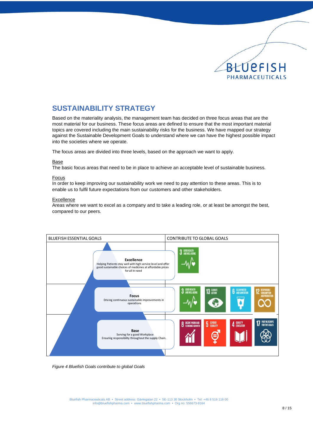

## <span id="page-7-0"></span>**SUSTAINABILITY STRATEGY**

Based on the materiality analysis, the management team has decided on three focus areas that are the most material for our business. These focus areas are defined to ensure that the most important material topics are covered including the main sustainability risks for the business. We have mapped our strategy against the Sustainable Development Goals to understand where we can have the highest possible impact into the societies where we operate.

The focus areas are divided into three levels, based on the approach we want to apply.

#### **Base**

The basic focus areas that need to be in place to achieve an acceptable level of sustainable business.

#### **Focus**

In order to keep improving our sustainability work we need to pay attention to these areas. This is to enable us to fulfil future expectations from our customers and other stakeholders.

#### Excellence

Areas where we want to excel as a company and to take a leading role, or at least be amongst the best, compared to our peers.



*Figure 4 Bluefish Goals contribute to global Goals*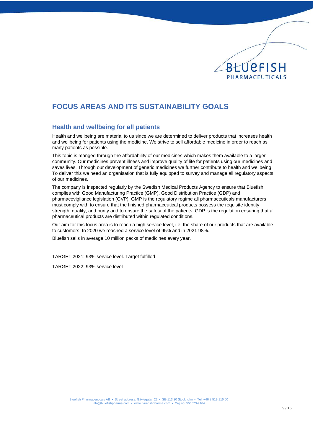

## <span id="page-8-0"></span>**FOCUS AREAS AND ITS SUSTAINABILITY GOALS**

#### <span id="page-8-1"></span>**Health and wellbeing for all patients**

Health and wellbeing are material to us since we are determined to deliver products that increases health and wellbeing for patients using the medicine. We strive to sell affordable medicine in order to reach as many patients as possible.

This topic is manged through the affordability of our medicines which makes them available to a larger community. Our medicines prevent illness and improve quality of life for patients using our medicines and saves lives. Through our development of generic medicines we further contribute to health and wellbeing. To deliver this we need an organisation that is fully equipped to survey and manage all regulatory aspects of our medicines.

The company is inspected regularly by the Swedish Medical Products Agency to ensure that Bluefish complies with Good Manufacturing Practice (GMP), Good Distribution Practice (GDP) and pharmacovigilance legislation (GVP). GMP is the regulatory regime all pharmaceuticals manufacturers must comply with to ensure that the finished pharmaceutical products possess the requisite identity, strength, quality, and purity and to ensure the safety of the patients. GDP is the regulation ensuring that all pharmaceutical products are distributed within regulated conditions.

Our aim for this focus area is to reach a high service level, i.e. the share of our products that are available to customers. In 2020 we reached a service level of 95% and in 2021 98%.

Bluefish sells in average 10 million packs of medicines every year.

TARGET 2021: 93% service level. Target fulfilled

TARGET 2022: 93% service level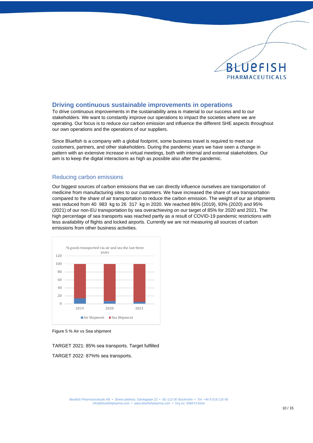

#### <span id="page-9-0"></span>**Driving continuous sustainable improvements in operations**

To drive continuous improvements in the sustainability area is material to our success and to our stakeholders. We want to constantly improve our operations to impact the societies where we are operating. Our focus is to reduce our carbon emission and influence the different SHE aspects throughout our own operations and the operations of our suppliers.

Since Bluefish is a company with a global footprint, some business travel is required to meet our customers, partners, and other stakeholders. During the pandemic years we have seen a change in pattern with an extensive increase in virtual meetings, both with internal and external stakeholders. Our aim is to keep the digital interactions as high as possible also after the pandemic.

#### <span id="page-9-1"></span>Reducing carbon emissions

Our biggest sources of carbon emissions that we can directly influence ourselves are transportation of medicine from manufacturing sites to our customers. We have increased the share of sea transportation compared to the share of air transportation to reduce the carbon emission. The weight of our air shipments was reduced from 40 983 kg to 26 317 kg in 2020. We reached 86% (2019), 93% (2020) and 95% (2021) of our non-EU transportation by sea overachieving on our target of 85% for 2020 and 2021. The high percentage of sea transports was reached partly as a result of COVID-19 pandemic restrictions with less availability of flights and locked airports. Currently we are not measuring all sources of carbon emissions from other business activities.



Figure 5 % Air vs Sea shipment

<span id="page-9-2"></span>TARGET 2021: 85% sea transports. Target fulfilled TARGET 2022: 87%% sea transports.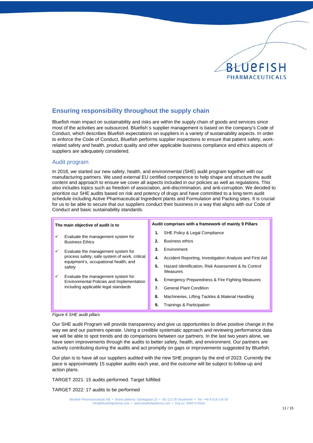

#### <span id="page-10-0"></span>**Ensuring responsibility throughout the supply chain**

Bluefish main impact on sustainability and risks are within the supply chain of goods and services since most of the activities are outsourced. Bluefish´s supplier management is based on the company's Code of Conduct, which describes Bluefish expectations on suppliers in a variety of sustainability aspects. In order to enforce the Code of Conduct, Bluefish performs supplier inspections to ensure that patient safety, workrelated safety and health, product quality and other applicable business compliance and ethics aspects of suppliers are adequately considered.

#### <span id="page-10-1"></span>Audit program

In 2018, we started our new safety, health, and environmental (SHE) audit program together with our manufacturing partners. We used external EU certified competence to help shape and structure the audit content and approach to ensure we cover all aspects included in our policies as well as regulations. This also includes topics such as freedom of association, anti-discrimination, and anti-corruption. We decided to prioritize our SHE audits based on risk and potency of drugs and have committed to a long-term audit schedule including Active Pharmaceutical Ingredient plants and Formulation and Packing sites. It is crucial for us to be able to secure that our suppliers conduct their business in a way that aligns with our Code of Conduct and basic sustainability standards.

| The main objective of audit is to                                                                                                                                                                                                                                           | Audit comprises with a framework of mainly 9 Pillars                   |
|-----------------------------------------------------------------------------------------------------------------------------------------------------------------------------------------------------------------------------------------------------------------------------|------------------------------------------------------------------------|
| Evaluate the management system for<br>✓<br><b>Business Ethics</b>                                                                                                                                                                                                           | SHE Policy & Legal Compliance<br>1.                                    |
|                                                                                                                                                                                                                                                                             | <b>Business ethics</b><br>2.                                           |
| Evaluate the management system for<br>✓<br>process safety, safe system of work, critical<br>equipment's, occupational health, and<br>safety<br>Evaluate the management system for<br>✓<br>Environmental Policies and Implementation<br>including applicable legal standards | Environment<br>3.                                                      |
|                                                                                                                                                                                                                                                                             | Accident Reporting, Investigation Analysis and First Aid<br>4.         |
|                                                                                                                                                                                                                                                                             | 5.<br>Hazard Identification, Risk Assessment & Its Control<br>Measures |
|                                                                                                                                                                                                                                                                             | Emergency Preparedness & Fire Fighting Measures<br>6.                  |
|                                                                                                                                                                                                                                                                             | <b>General Plant Condition</b><br>7.                                   |
|                                                                                                                                                                                                                                                                             | 8.<br>Machineries, Lifting Tackles & Material Handling                 |
|                                                                                                                                                                                                                                                                             | Trainings & Participation<br>9.                                        |



Our SHE audit Program will provide transparency and give us opportunities to drive positive change in the way we and our partners operate. Using a credible systematic approach and reviewing performance data we will be able to spot trends and do comparisons between our partners. In the last two years alone, we have seen improvements through the audits to better safety, health, and environment. Our partners are actively contributing during the audits and act promptly on gaps or improvements suggested by Bluefish.

Our plan is to have all our suppliers audited with the new SHE program by the end of 2023. Currently the pace is approximately 15 supplier audits each year, and the outcome will be subject to follow-up and action plans.

TARGET 2021: 15 audits performed. Target fulfilled

TARGET 2022: 17 audits to be performed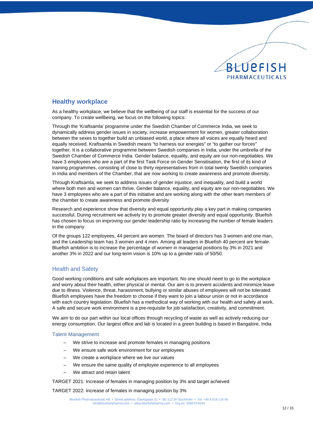

#### <span id="page-11-0"></span>**Healthy workplace**

As a healthy workplace, we believe that the wellbeing of our staff is essential for the success of our company. To create wellbeing, we focus on the following topics:

Through the 'Kraftsamla' programme under the Swedish Chamber of Commerce India, we seek to dynamically address gender issues in society, increase empowerment for women, greater collaboration between the sexes to together build an unbiased world, a place where all voices are equally heard and equally received. Kraftsamla in Swedish means "to harness our energies" or "to gather our forces" together. It is a collaborative programme between Swedish companies in India, under the umbrella of the Swedish Chamber of Commerce India. Gender balance, equality, and equity are our non-negotiables. We have 3 employees who are a part of the first Task Force on Gender Sensitisation, the first of its kind of training programmes, consisting of close to thirty representatives from in total twenty Swedish companies in India and members of the Chamber, that are now working to create awareness and promote diversity.

Through Kraftsamla, we seek to address issues of gender injustice, and inequality, and build a world where both men and women can thrive. Gender balance, equality, and equity are our non-negotiables. We have 3 employees who are a part of this initiative and are working along with the other team members of the chamber to create awareness and promote diversity

Research and experience show that diversity and equal opportunity play a key part in making companies successful. During recruitment we actively try to promote greater diversity and equal opportunity. Bluefish has chosen to focus on improving our gender leadership ratio by increasing the number of female leaders in the company.

Of the groups 122 employees, 44 percent are women. The board of directors has 3 women and one man, and the Leadership team has 3 women and 4 men. Among all leaders in Bluefish 40 percent are female. Bluefish ambition is to increase the percentage of women in managerial positions by 3% in 2021 and another 3% in 2022 and our long-term vision is 10% up to a gender ratio of 50/50.

#### <span id="page-11-1"></span>Health and Safety

Good working conditions and safe workplaces are important. No one should need to go to the workplace and worry about their health, either physical or mental. Our aim is to prevent accidents and minimize leave due to illness. Violence, threat, harassment, bullying or similar abuses of employees will not be tolerated. Bluefish employees have the freedom to choose if they want to join a labour union or not in accordance with each country legislation. Bluefish has a methodical way of working with our health and safety at work. A safe and secure work environment is a pre-requisite for job satisfaction, creativity, and commitment.

We aim to do our part within our local offices through recycling of waste as well as actively reducing our energy consumption. Our largest office and lab is located in a green building is based in Bangalore, India

#### Talent Management

- We strive to increase and promote females in managing positions
- We ensure safe work environment for our employees
- We create a workplace where we live our values
- We ensure the same quality of employee experience to all employees
- We attract and retain talent

TARGET 2021: Increase of females in managing position by 3% and target achieved

TARGET 2022: Increase of females in managing position by 3%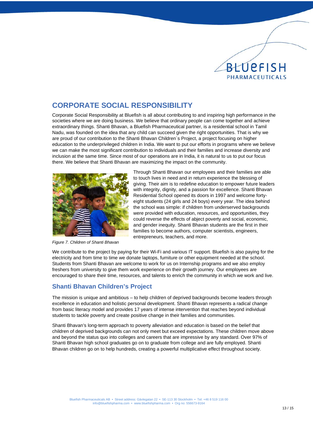## BLUEFISH PHARMACEUTICALS

## <span id="page-12-0"></span>**CORPORATE SOCIAL RESPONSIBILITY**

Corporate Social Responsibility at Bluefish is all about contributing to and inspiring high performance in the societies where we are doing business. We believe that ordinary people can come together and achieve extraordinary things. Shanti Bhavan, a Bluefish Pharmaceutical partner, is a residential school in Tamil Nadu, was founded on the idea that any child can succeed given the right opportunities. That is why we are proud of our contribution to the Shanti Bhavan Children´s Project, a project focusing on higher education to the underprivileged children in India. We want to put our efforts in programs where we believe we can make the most significant contribution to individuals and their families and increase diversity and inclusion at the same time. Since most of our operations are in India, it is natural to us to put our focus there. We believe that Shanti Bhavan are maximizing the impact on the community.



*Figure 7. Children of Shanti Bhavan*

Through Shanti Bhavan our employees and their families are able to touch lives in need and in return experience the blessing of giving. Their aim is to redefine education to empower future leaders with integrity, dignity, and a passion for excellence. Shanti Bhavan Residential School opened its doors in 1997 and welcome fortyeight students (24 girls and 24 boys) every year. The idea behind the school was simple: if children from underserved backgrounds were provided with education, resources, and opportunities, they could reverse the effects of abject poverty and social, economic, and gender inequity. Shanti Bhavan students are the first in their families to become authors, computer scientists, engineers, entrepreneurs, teachers, and more.

We contribute to the project by paying for their Wi-Fi and various IT support. Bluefish is also paying for the electricity and from time to time we donate laptops, furniture or other equipment needed at the school. Students from Shanti Bhavan are welcome to work for us on Internship programs and we also employ freshers from university to give them work experience on their growth journey. Our employees are encouraged to share their time, resources, and talents to enrich the community in which we work and live.

## <span id="page-12-1"></span>**Shanti Bhavan Children's Project**

The mission is unique and ambitious – to help children of deprived backgrounds become leaders through excellence in education and holistic personal development. Shanti Bhavan represents a radical change from basic literacy model and provides 17 years of intense intervention that reaches beyond individual students to tackle poverty and create positive change in their families and communities.

Shanti Bhavan's long-term approach to poverty alleviation and education is based on the belief that children of deprived backgrounds can not only meet but exceed expectations. These children move above and beyond the status quo into colleges and careers that are impressive by any standard. Over 97% of Shanti Bhavan high school graduates go on to graduate from college and are fully employed. Shanti Bhavan children go on to help hundreds, creating a powerful multiplicative effect throughout society.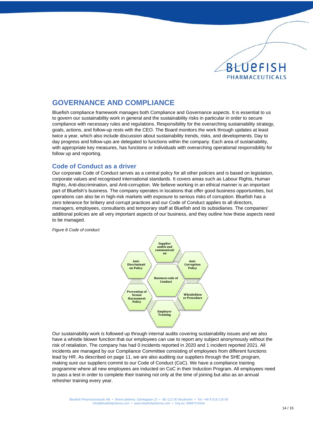

## <span id="page-13-0"></span>**GOVERNANCE AND COMPLIANCE**

Bluefish compliance framework manages both Compliance and Governance aspects. It is essential to us to govern our sustainability work in general and the sustainability risks in particular in order to secure compliance with necessary rules and regulations. Responsibility for the overarching sustainability strategy, goals, actions, and follow-up rests with the CEO. The Board monitors the work through updates at least twice a year, which also include discussion about sustainability trends, risks, and developments. Day to day progress and follow-ups are delegated to functions within the company. Each area of sustainability, with appropriate key measures, has functions or individuals with overarching operational responsibility for follow up and reporting.

#### <span id="page-13-1"></span>**Code of Conduct as a driver**

Our corporate Code of Conduct serves as a central policy for all other policies and is based on legislation, corporate values and recognised international standards. It covers areas such as Labour Rights, Human Rights, Anti-discrimination, and Anti-corruption. We believe working in an ethical manner is an important part of Bluefish's business. The company operates in locations that offer good business opportunities, but operations can also be in high-risk markets with exposure to serious risks of corruption. Bluefish has a zero tolerance for bribery and corrupt practices and our Code of Conduct applies to all directors, managers, employees, consultants and temporary staff at Bluefish and its subsidiaries. The companies' additional policies are all very important aspects of our business, and they outline how these aspects need to be managed.

*Figure 8 Code of conduct*



Our sustainability work is followed up through internal audits covering sustainability issues and we also have a whistle blower function that our employees can use to report any subject anonymously without the risk of retaliation. The company has had 0 incidents reported in 2020 and 1 incident reported 2021. All incidents are managed by our Compliance Committee consisting of employees from different functions lead by HR. As described on page [11,](#page-9-2) we are also auditing our suppliers through the SHE program, making sure our suppliers commit to our Code of Conduct (CoC). We have a compliance training programme where all new employees are inducted on CoC in their Induction Program. All employees need to pass a test in order to complete their training not only at the time of joining but also as an annual refresher training every year.